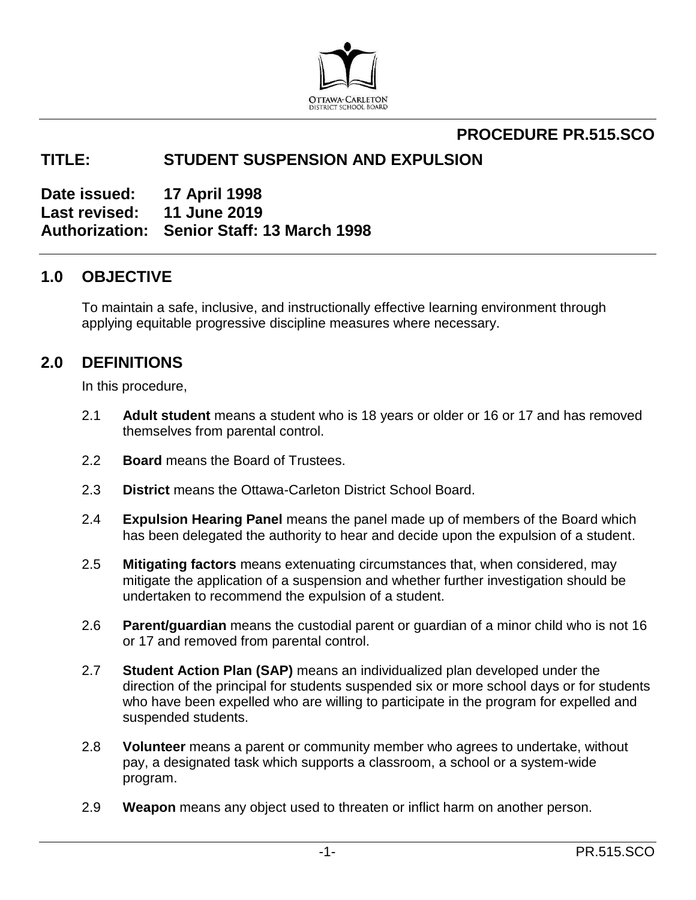

## **PROCEDURE PR.515.SCO**

### **TITLE: STUDENT SUSPENSION AND EXPULSION**

**Date issued: 17 April 1998 Last revised: 11 June 2019 Authorization: Senior Staff: 13 March 1998**

### **1.0 OBJECTIVE**

To maintain a safe, inclusive, and instructionally effective learning environment through applying equitable progressive discipline measures where necessary.

### **2.0 DEFINITIONS**

In this procedure,

- 2.1 **Adult student** means a student who is 18 years or older or 16 or 17 and has removed themselves from parental control.
- 2.2 **Board** means the Board of Trustees.
- 2.3 **District** means the Ottawa-Carleton District School Board.
- 2.4 **Expulsion Hearing Panel** means the panel made up of members of the Board which has been delegated the authority to hear and decide upon the expulsion of a student.
- 2.5 **Mitigating factors** means extenuating circumstances that, when considered, may mitigate the application of a suspension and whether further investigation should be undertaken to recommend the expulsion of a student.
- 2.6 **Parent/guardian** means the custodial parent or guardian of a minor child who is not 16 or 17 and removed from parental control.
- 2.7 **Student Action Plan (SAP)** means an individualized plan developed under the direction of the principal for students suspended six or more school days or for students who have been expelled who are willing to participate in the program for expelled and suspended students.
- 2.8 **Volunteer** means a parent or community member who agrees to undertake, without pay, a designated task which supports a classroom, a school or a system-wide program.
- 2.9 **Weapon** means any object used to threaten or inflict harm on another person.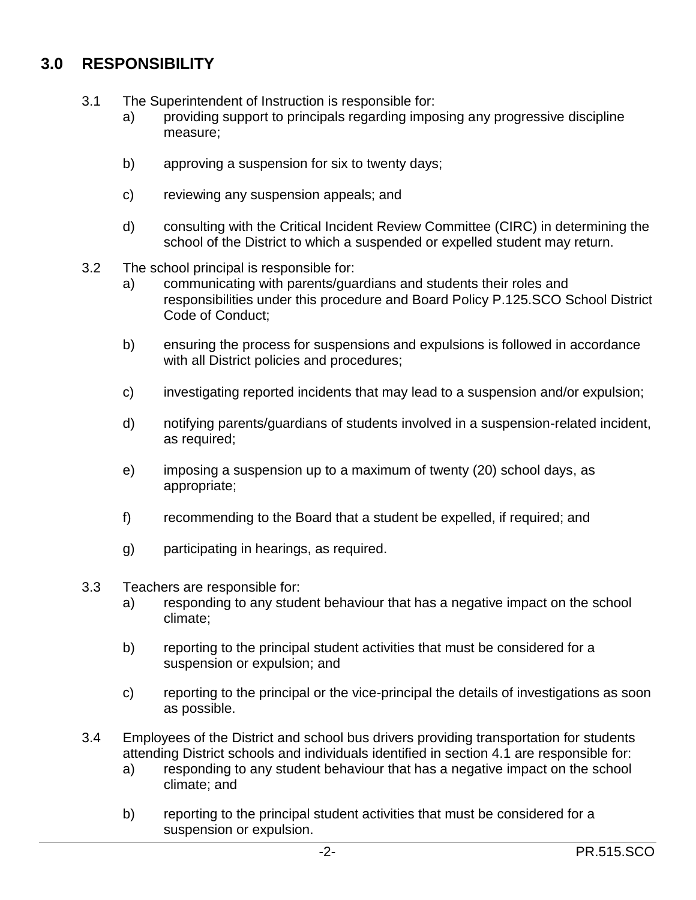# **3.0 RESPONSIBILITY**

- 3.1 The Superintendent of Instruction is responsible for:
	- a) providing support to principals regarding imposing any progressive discipline measure;
	- b) approving a suspension for six to twenty days;
	- c) reviewing any suspension appeals; and
	- d) consulting with the Critical Incident Review Committee (CIRC) in determining the school of the District to which a suspended or expelled student may return.
- 3.2 The school principal is responsible for:
	- a) communicating with parents/guardians and students their roles and responsibilities under this procedure and Board Policy P.125.SCO School District Code of Conduct;
	- b) ensuring the process for suspensions and expulsions is followed in accordance with all District policies and procedures;
	- c) investigating reported incidents that may lead to a suspension and/or expulsion;
	- d) notifying parents/guardians of students involved in a suspension-related incident, as required;
	- e) imposing a suspension up to a maximum of twenty (20) school days, as appropriate;
	- f) recommending to the Board that a student be expelled, if required; and
	- g) participating in hearings, as required.
- 3.3 Teachers are responsible for:
	- a) responding to any student behaviour that has a negative impact on the school climate;
	- b) reporting to the principal student activities that must be considered for a suspension or expulsion; and
	- c) reporting to the principal or the vice-principal the details of investigations as soon as possible.
- 3.4 Employees of the District and school bus drivers providing transportation for students attending District schools and individuals identified in section 4.1 are responsible for:
	- a) responding to any student behaviour that has a negative impact on the school climate; and
	- b) reporting to the principal student activities that must be considered for a suspension or expulsion.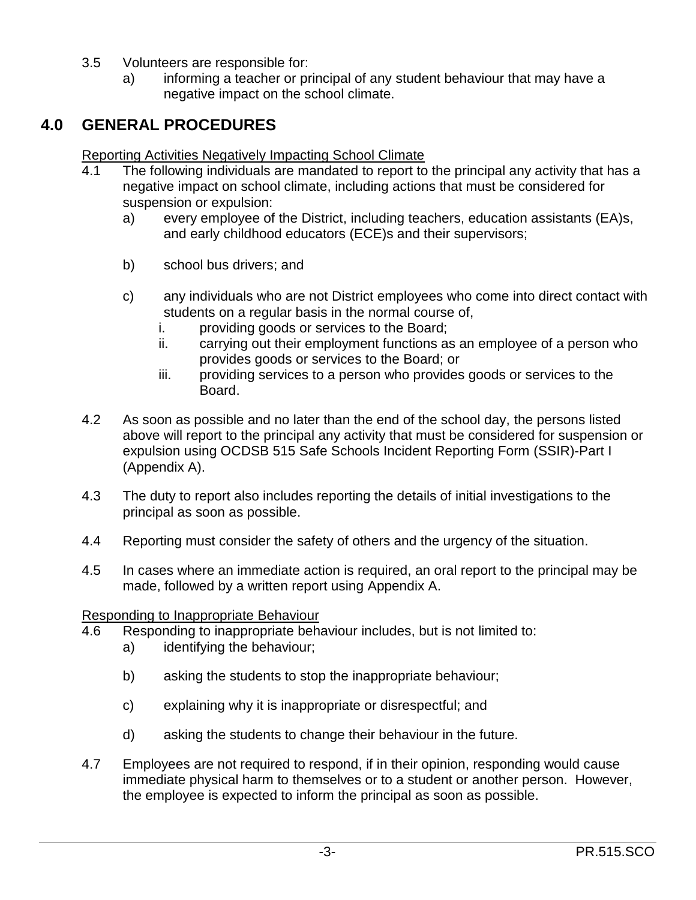- 3.5 Volunteers are responsible for:
	- a) informing a teacher or principal of any student behaviour that may have a negative impact on the school climate.

# **4.0 GENERAL PROCEDURES**

Reporting Activities Negatively Impacting School Climate

- 4.1 The following individuals are mandated to report to the principal any activity that has a negative impact on school climate, including actions that must be considered for suspension or expulsion:
	- a) every employee of the District, including teachers, education assistants (EA)s, and early childhood educators (ECE)s and their supervisors;
	- b) school bus drivers; and
	- c) any individuals who are not District employees who come into direct contact with students on a regular basis in the normal course of,
		- i. providing goods or services to the Board;
		- ii. carrying out their employment functions as an employee of a person who provides goods or services to the Board; or
		- iii. providing services to a person who provides goods or services to the Board.
- 4.2 As soon as possible and no later than the end of the school day, the persons listed above will report to the principal any activity that must be considered for suspension or expulsion using OCDSB 515 Safe Schools Incident Reporting Form (SSIR)-Part I (Appendix A).
- 4.3 The duty to report also includes reporting the details of initial investigations to the principal as soon as possible.
- 4.4 Reporting must consider the safety of others and the urgency of the situation.
- 4.5 In cases where an immediate action is required, an oral report to the principal may be made, followed by a written report using Appendix A.

Responding to Inappropriate Behaviour

- 4.6 Responding to inappropriate behaviour includes, but is not limited to:
	- a) identifying the behaviour;
	- b) asking the students to stop the inappropriate behaviour;
	- c) explaining why it is inappropriate or disrespectful; and
	- d) asking the students to change their behaviour in the future.
- 4.7 Employees are not required to respond, if in their opinion, responding would cause immediate physical harm to themselves or to a student or another person. However, the employee is expected to inform the principal as soon as possible.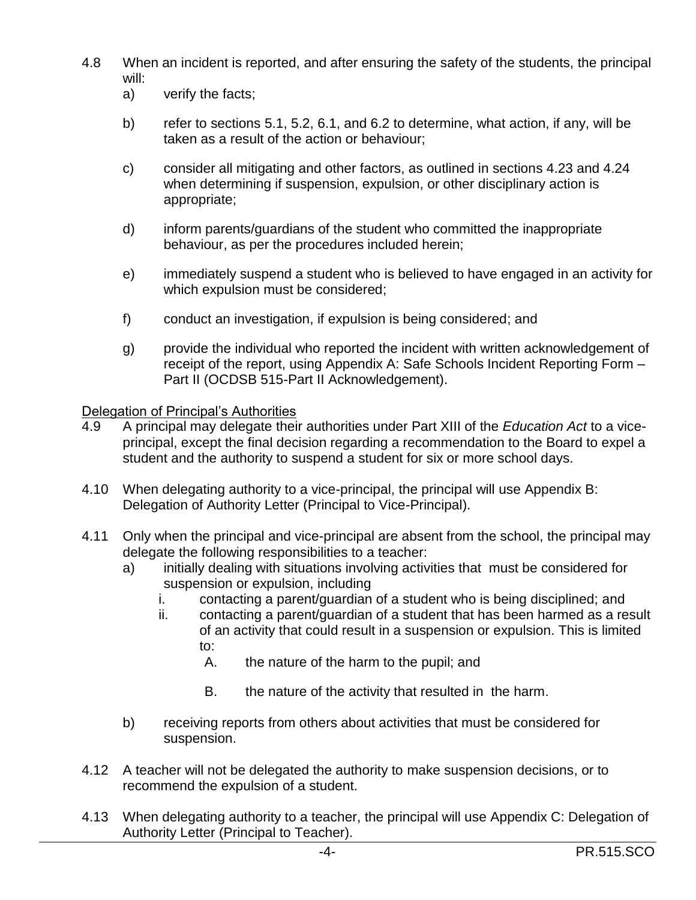- 4.8 When an incident is reported, and after ensuring the safety of the students, the principal will:
	- a) verify the facts;
	- b) refer to sections 5.1, 5.2, 6.1, and 6.2 to determine, what action, if any, will be taken as a result of the action or behaviour;
	- c) consider all mitigating and other factors, as outlined in sections 4.23 and 4.24 when determining if suspension, expulsion, or other disciplinary action is appropriate;
	- d) inform parents/guardians of the student who committed the inappropriate behaviour, as per the procedures included herein;
	- e) immediately suspend a student who is believed to have engaged in an activity for which expulsion must be considered;
	- f) conduct an investigation, if expulsion is being considered; and
	- g) provide the individual who reported the incident with written acknowledgement of receipt of the report, using Appendix A: Safe Schools Incident Reporting Form – Part II (OCDSB 515-Part II Acknowledgement).

Delegation of Principal's Authorities

- 4.9 A principal may delegate their authorities under Part XIII of the *Education Act* to a viceprincipal, except the final decision regarding a recommendation to the Board to expel a student and the authority to suspend a student for six or more school days.
- 4.10 When delegating authority to a vice-principal, the principal will use Appendix B: Delegation of Authority Letter (Principal to Vice-Principal).
- 4.11 Only when the principal and vice-principal are absent from the school, the principal may delegate the following responsibilities to a teacher:
	- a) initially dealing with situations involving activities that must be considered for suspension or expulsion, including
		- i. contacting a parent/guardian of a student who is being disciplined; and
		- ii. contacting a parent/guardian of a student that has been harmed as a result of an activity that could result in a suspension or expulsion. This is limited to:
			- A. the nature of the harm to the pupil; and
			- B. the nature of the activity that resulted in the harm.
	- b) receiving reports from others about activities that must be considered for suspension.
- 4.12 A teacher will not be delegated the authority to make suspension decisions, or to recommend the expulsion of a student.
- 4.13 When delegating authority to a teacher, the principal will use Appendix C: Delegation of Authority Letter (Principal to Teacher).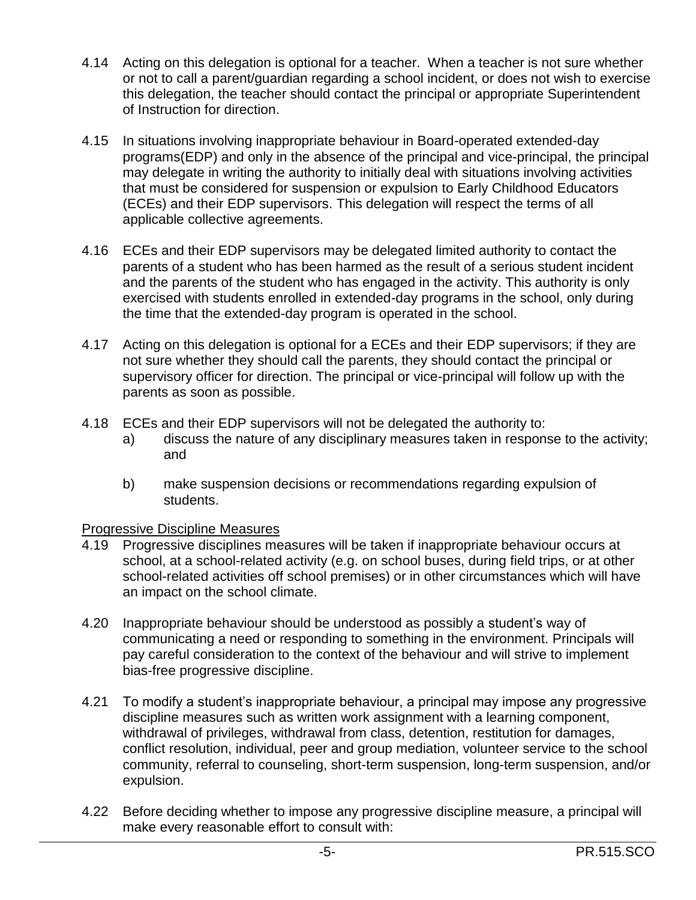- 4.14 Acting on this delegation is optional for a teacher. When a teacher is not sure whether or not to call a parent/guardian regarding a school incident, or does not wish to exercise this delegation, the teacher should contact the principal or appropriate Superintendent of Instruction for direction.
- 4.15 In situations involving inappropriate behaviour in Board-operated extended-day programs(EDP) and only in the absence of the principal and vice-principal, the principal may delegate in writing the authority to initially deal with situations involving activities that must be considered for suspension or expulsion to Early Childhood Educators (ECEs) and their EDP supervisors. This delegation will respect the terms of all applicable collective agreements.
- 4.16 ECEs and their EDP supervisors may be delegated limited authority to contact the parents of a student who has been harmed as the result of a serious student incident and the parents of the student who has engaged in the activity. This authority is only exercised with students enrolled in extended-day programs in the school, only during the time that the extended-day program is operated in the school.
- 4.17 Acting on this delegation is optional for a ECEs and their EDP supervisors; if they are not sure whether they should call the parents, they should contact the principal or supervisory officer for direction. The principal or vice-principal will follow up with the parents as soon as possible.
- 4.18 ECEs and their EDP supervisors will not be delegated the authority to:
	- a) discuss the nature of any disciplinary measures taken in response to the activity; and
	- b) make suspension decisions or recommendations regarding expulsion of students.

### Progressive Discipline Measures

- 4.19 Progressive disciplines measures will be taken if inappropriate behaviour occurs at school, at a school-related activity (e.g. on school buses, during field trips, or at other school-related activities off school premises) or in other circumstances which will have an impact on the school climate.
- 4.20 Inappropriate behaviour should be understood as possibly a student's way of communicating a need or responding to something in the environment. Principals will pay careful consideration to the context of the behaviour and will strive to implement bias-free progressive discipline.
- 4.21 To modify a student's inappropriate behaviour, a principal may impose any progressive discipline measures such as written work assignment with a learning component, withdrawal of privileges, withdrawal from class, detention, restitution for damages, conflict resolution, individual, peer and group mediation, volunteer service to the school community, referral to counseling, short-term suspension, long-term suspension, and/or expulsion.
- 4.22 Before deciding whether to impose any progressive discipline measure, a principal will make every reasonable effort to consult with: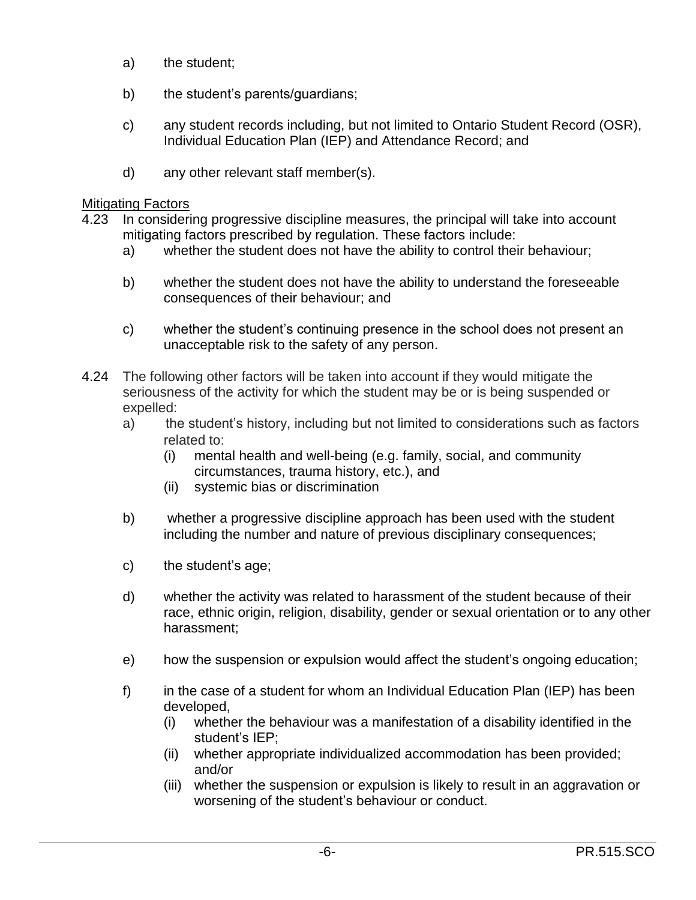- a) the student;
- b) the student's parents/guardians;
- c) any student records including, but not limited to Ontario Student Record (OSR), Individual Education Plan (IEP) and Attendance Record; and
- d) any other relevant staff member(s).

#### Mitigating Factors

- 4.23 In considering progressive discipline measures, the principal will take into account mitigating factors prescribed by regulation. These factors include:
	- a) whether the student does not have the ability to control their behaviour;
	- b) whether the student does not have the ability to understand the foreseeable consequences of their behaviour; and
	- c) whether the student's continuing presence in the school does not present an unacceptable risk to the safety of any person.
- 4.24 The following other factors will be taken into account if they would mitigate the seriousness of the activity for which the student may be or is being suspended or expelled:
	- a) the student's history, including but not limited to considerations such as factors related to:
		- (i) mental health and well-being (e.g. family, social, and community circumstances, trauma history, etc.), and
		- (ii) systemic bias or discrimination
	- b) whether a progressive discipline approach has been used with the student including the number and nature of previous disciplinary consequences;
	- c) the student's age;
	- d) whether the activity was related to harassment of the student because of their race, ethnic origin, religion, disability, gender or sexual orientation or to any other harassment;
	- e) how the suspension or expulsion would affect the student's ongoing education;
	- f) in the case of a student for whom an Individual Education Plan (IEP) has been developed,
		- (i) whether the behaviour was a manifestation of a disability identified in the student's IEP;
		- (ii) whether appropriate individualized accommodation has been provided; and/or
		- (iii) whether the suspension or expulsion is likely to result in an aggravation or worsening of the student's behaviour or conduct.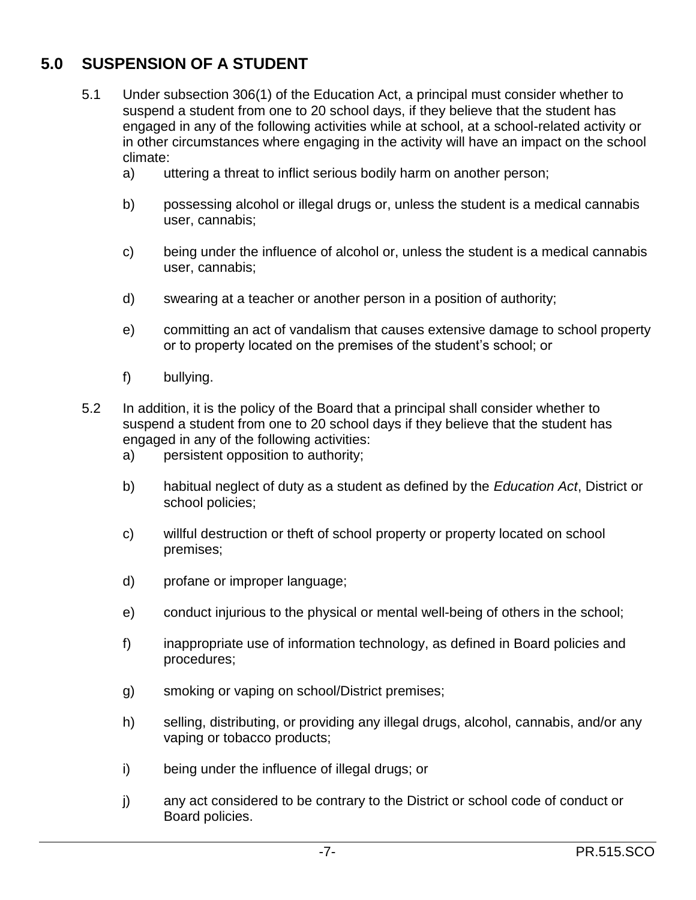# **5.0 SUSPENSION OF A STUDENT**

- 5.1 Under subsection 306(1) of the Education Act, a principal must consider whether to suspend a student from one to 20 school days, if they believe that the student has engaged in any of the following activities while at school, at a school-related activity or in other circumstances where engaging in the activity will have an impact on the school climate:
	- a) uttering a threat to inflict serious bodily harm on another person;
	- b) possessing alcohol or illegal drugs or, unless the student is a medical cannabis user, cannabis;
	- c) being under the influence of alcohol or, unless the student is a medical cannabis user, cannabis;
	- d) swearing at a teacher or another person in a position of authority;
	- e) committing an act of vandalism that causes extensive damage to school property or to property located on the premises of the student's school; or
	- f) bullying.
- 5.2 In addition, it is the policy of the Board that a principal shall consider whether to suspend a student from one to 20 school days if they believe that the student has engaged in any of the following activities:
	- a) persistent opposition to authority;
	- b) habitual neglect of duty as a student as defined by the *Education Act*, District or school policies;
	- c) willful destruction or theft of school property or property located on school premises;
	- d) profane or improper language;
	- e) conduct injurious to the physical or mental well-being of others in the school;
	- f) inappropriate use of information technology, as defined in Board policies and procedures;
	- g) smoking or vaping on school/District premises;
	- h) selling, distributing, or providing any illegal drugs, alcohol, cannabis, and/or any vaping or tobacco products;
	- i) being under the influence of illegal drugs; or
	- j) any act considered to be contrary to the District or school code of conduct or Board policies.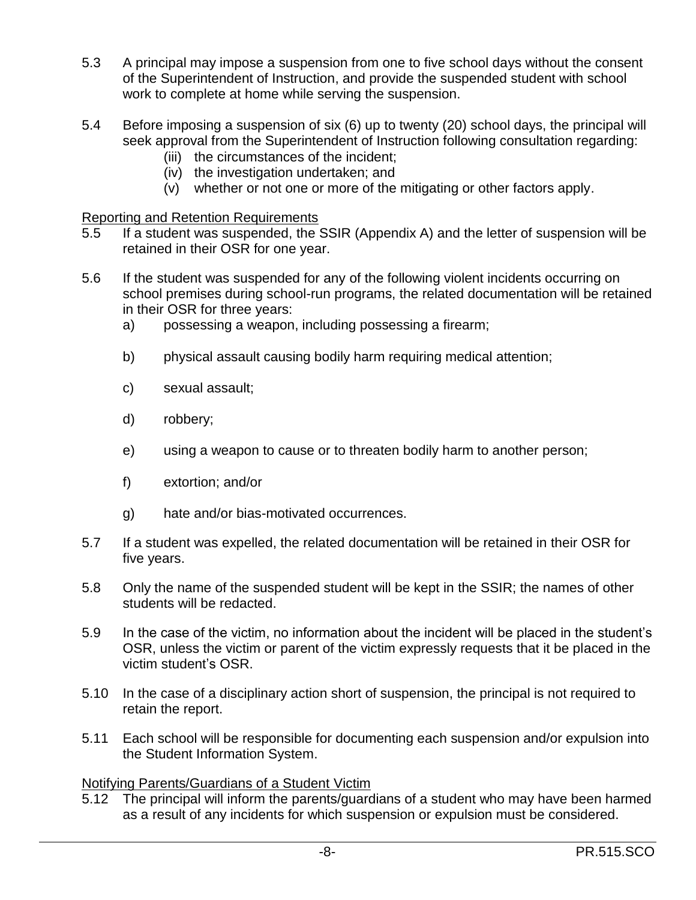- 5.3 A principal may impose a suspension from one to five school days without the consent of the Superintendent of Instruction, and provide the suspended student with school work to complete at home while serving the suspension.
- 5.4 Before imposing a suspension of six (6) up to twenty (20) school days, the principal will seek approval from the Superintendent of Instruction following consultation regarding:
	- (iii) the circumstances of the incident;
	- (iv) the investigation undertaken; and
	- (v) whether or not one or more of the mitigating or other factors apply.

#### Reporting and Retention Requirements

- 5.5 If a student was suspended, the SSIR (Appendix A) and the letter of suspension will be retained in their OSR for one year.
- 5.6 If the student was suspended for any of the following violent incidents occurring on school premises during school-run programs, the related documentation will be retained in their OSR for three years:
	- a) possessing a weapon, including possessing a firearm;
	- b) physical assault causing bodily harm requiring medical attention;
	- c) sexual assault;
	- d) robbery;
	- e) using a weapon to cause or to threaten bodily harm to another person;
	- f) extortion; and/or
	- g) hate and/or bias-motivated occurrences.
- 5.7 If a student was expelled, the related documentation will be retained in their OSR for five years.
- 5.8 Only the name of the suspended student will be kept in the SSIR; the names of other students will be redacted.
- 5.9 In the case of the victim, no information about the incident will be placed in the student's OSR, unless the victim or parent of the victim expressly requests that it be placed in the victim student's OSR.
- 5.10 In the case of a disciplinary action short of suspension, the principal is not required to retain the report.
- 5.11 Each school will be responsible for documenting each suspension and/or expulsion into the Student Information System.

### Notifying Parents/Guardians of a Student Victim

5.12 The principal will inform the parents/guardians of a student who may have been harmed as a result of any incidents for which suspension or expulsion must be considered.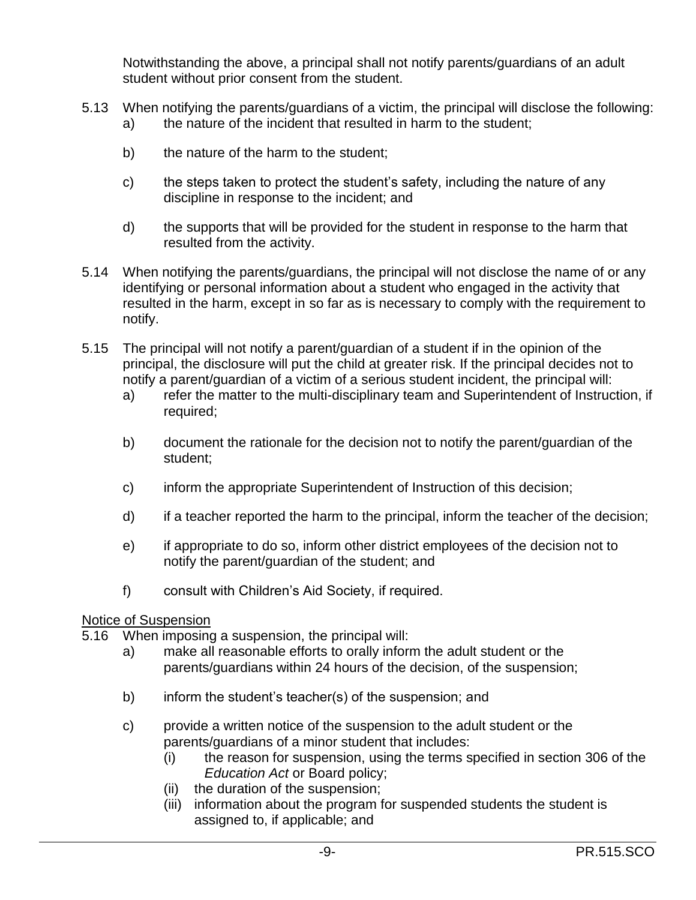Notwithstanding the above, a principal shall not notify parents/guardians of an adult student without prior consent from the student.

- 5.13 When notifying the parents/guardians of a victim, the principal will disclose the following: a) the nature of the incident that resulted in harm to the student;
	- b) the nature of the harm to the student;
	- c) the steps taken to protect the student's safety, including the nature of any discipline in response to the incident; and
	- d) the supports that will be provided for the student in response to the harm that resulted from the activity.
- 5.14 When notifying the parents/guardians, the principal will not disclose the name of or any identifying or personal information about a student who engaged in the activity that resulted in the harm, except in so far as is necessary to comply with the requirement to notify.
- 5.15 The principal will not notify a parent/guardian of a student if in the opinion of the principal, the disclosure will put the child at greater risk. If the principal decides not to notify a parent/guardian of a victim of a serious student incident, the principal will:
	- a) refer the matter to the multi-disciplinary team and Superintendent of Instruction, if required;
	- b) document the rationale for the decision not to notify the parent/guardian of the student;
	- c) inform the appropriate Superintendent of Instruction of this decision;
	- d) if a teacher reported the harm to the principal, inform the teacher of the decision;
	- e) if appropriate to do so, inform other district employees of the decision not to notify the parent/guardian of the student; and
	- f) consult with Children's Aid Society, if required.

#### Notice of Suspension

- 5.16 When imposing a suspension, the principal will:
	- a) make all reasonable efforts to orally inform the adult student or the parents/guardians within 24 hours of the decision, of the suspension;
	- b) inform the student's teacher(s) of the suspension; and
	- c) provide a written notice of the suspension to the adult student or the parents/guardians of a minor student that includes:
		- (i) the reason for suspension, using the terms specified in section 306 of the *Education Act* or Board policy;
		- (ii) the duration of the suspension;
		- (iii) information about the program for suspended students the student is assigned to, if applicable; and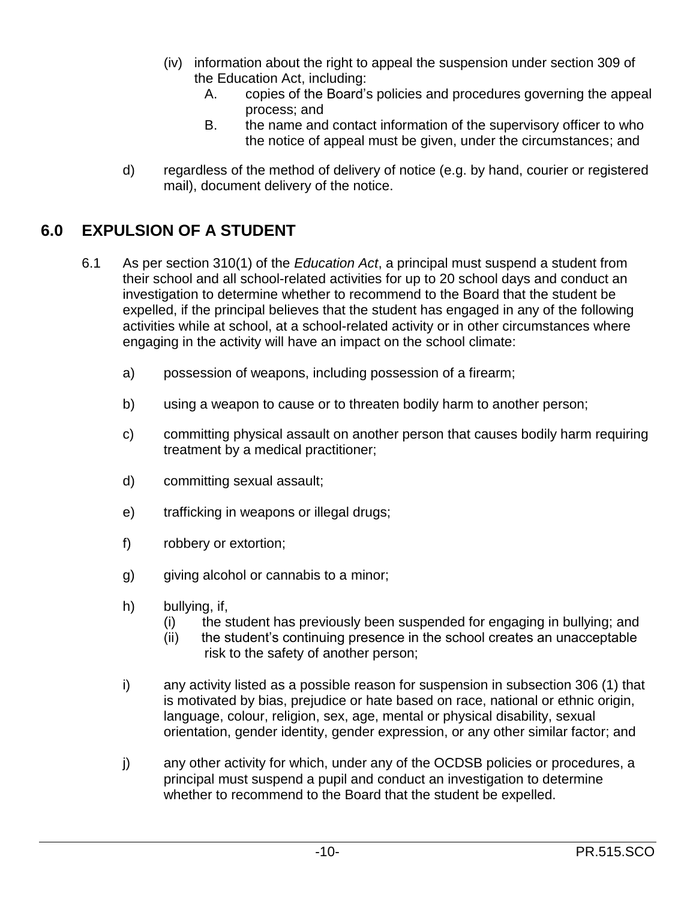- (iv) information about the right to appeal the suspension under section 309 of the Education Act, including:
	- A. copies of the Board's policies and procedures governing the appeal process; and
	- B. the name and contact information of the supervisory officer to who the notice of appeal must be given, under the circumstances; and
- d) regardless of the method of delivery of notice (e.g. by hand, courier or registered mail), document delivery of the notice.

## **6.0 EXPULSION OF A STUDENT**

- 6.1 As per section 310(1) of the *Education Act*, a principal must suspend a student from their school and all school-related activities for up to 20 school days and conduct an investigation to determine whether to recommend to the Board that the student be expelled, if the principal believes that the student has engaged in any of the following activities while at school, at a school-related activity or in other circumstances where engaging in the activity will have an impact on the school climate:
	- a) possession of weapons, including possession of a firearm;
	- b) using a weapon to cause or to threaten bodily harm to another person;
	- c) committing physical assault on another person that causes bodily harm requiring treatment by a medical practitioner;
	- d) committing sexual assault;
	- e) trafficking in weapons or illegal drugs;
	- f) robbery or extortion;
	- g) giving alcohol or cannabis to a minor;
	- h) bullying, if,
		- (i) the student has previously been suspended for engaging in bullying; and
		- (ii) the student's continuing presence in the school creates an unacceptable risk to the safety of another person;
	- i) any activity listed as a possible reason for suspension in subsection 306 (1) that is motivated by bias, prejudice or hate based on race, national or ethnic origin, language, colour, religion, sex, age, mental or physical disability, sexual orientation, gender identity, gender expression, or any other similar factor; and
	- j) any other activity for which, under any of the OCDSB policies or procedures, a principal must suspend a pupil and conduct an investigation to determine whether to recommend to the Board that the student be expelled.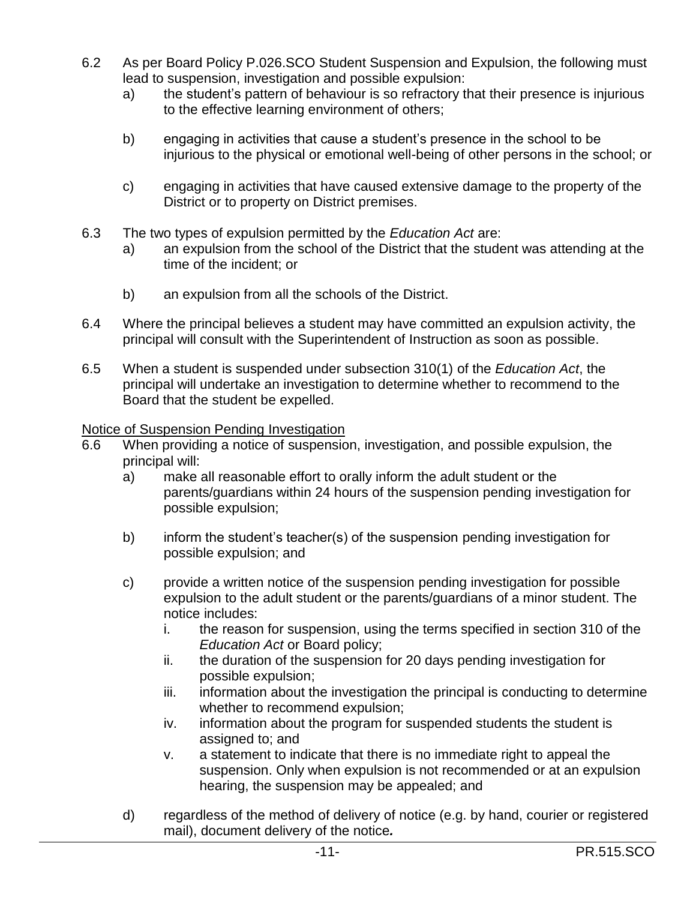- 6.2 As per Board Policy P.026.SCO Student Suspension and Expulsion, the following must lead to suspension, investigation and possible expulsion:
	- a) the student's pattern of behaviour is so refractory that their presence is injurious to the effective learning environment of others;
	- b) engaging in activities that cause a student's presence in the school to be injurious to the physical or emotional well-being of other persons in the school; or
	- c) engaging in activities that have caused extensive damage to the property of the District or to property on District premises.
- 6.3 The two types of expulsion permitted by the *Education Act* are:
	- a) an expulsion from the school of the District that the student was attending at the time of the incident; or
	- b) an expulsion from all the schools of the District.
- 6.4 Where the principal believes a student may have committed an expulsion activity, the principal will consult with the Superintendent of Instruction as soon as possible.
- 6.5 When a student is suspended under subsection 310(1) of the *Education Act*, the principal will undertake an investigation to determine whether to recommend to the Board that the student be expelled.

Notice of Suspension Pending Investigation

- 6.6 When providing a notice of suspension, investigation, and possible expulsion, the principal will:
	- a) make all reasonable effort to orally inform the adult student or the parents/guardians within 24 hours of the suspension pending investigation for possible expulsion;
	- b) inform the student's teacher(s) of the suspension pending investigation for possible expulsion; and
	- c) provide a written notice of the suspension pending investigation for possible expulsion to the adult student or the parents/guardians of a minor student. The notice includes:
		- i. the reason for suspension, using the terms specified in section 310 of the *Education Act* or Board policy;
		- ii. the duration of the suspension for 20 days pending investigation for possible expulsion;
		- iii. information about the investigation the principal is conducting to determine whether to recommend expulsion;
		- iv. information about the program for suspended students the student is assigned to; and
		- v. a statement to indicate that there is no immediate right to appeal the suspension. Only when expulsion is not recommended or at an expulsion hearing, the suspension may be appealed; and
	- d) regardless of the method of delivery of notice (e.g. by hand, courier or registered mail), document delivery of the notice*.*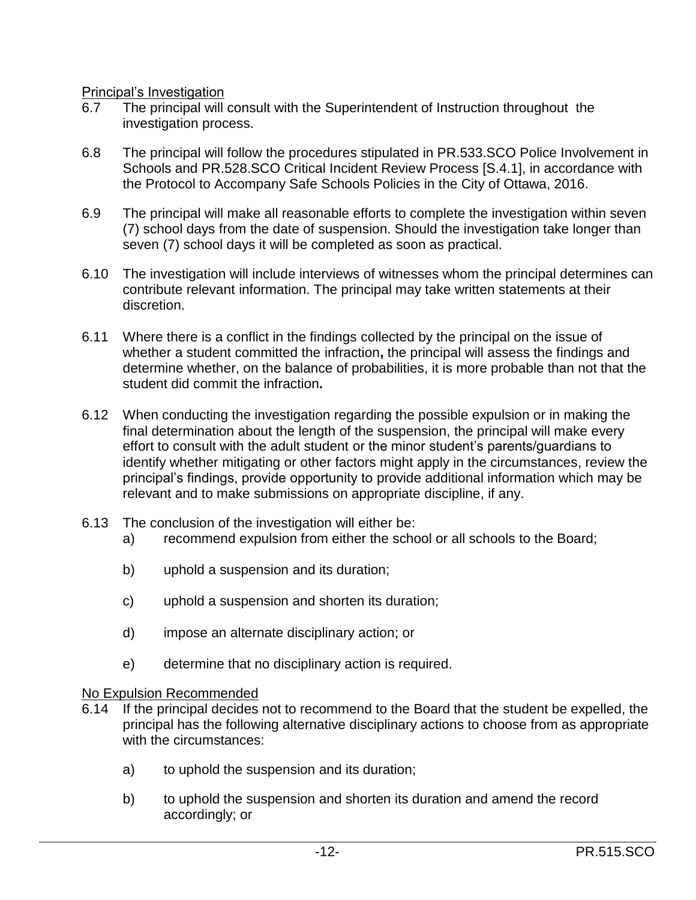Principal's Investigation

- 6.7 The principal will consult with the Superintendent of Instruction throughout the investigation process.
- 6.8 The principal will follow the procedures stipulated in PR.533.SCO Police Involvement in Schools and PR.528.SCO Critical Incident Review Process [S.4.1], in accordance with the Protocol to Accompany Safe Schools Policies in the City of Ottawa, 2016.
- 6.9 The principal will make all reasonable efforts to complete the investigation within seven (7) school days from the date of suspension. Should the investigation take longer than seven (7) school days it will be completed as soon as practical.
- 6.10 The investigation will include interviews of witnesses whom the principal determines can contribute relevant information. The principal may take written statements at their discretion.
- 6.11 Where there is a conflict in the findings collected by the principal on the issue of whether a student committed the infraction**,** the principal will assess the findings and determine whether, on the balance of probabilities, it is more probable than not that the student did commit the infraction**.**
- 6.12 When conducting the investigation regarding the possible expulsion or in making the final determination about the length of the suspension, the principal will make every effort to consult with the adult student or the minor student's parents/guardians to identify whether mitigating or other factors might apply in the circumstances, review the principal's findings, provide opportunity to provide additional information which may be relevant and to make submissions on appropriate discipline, if any.
- 6.13 The conclusion of the investigation will either be:
	- a) recommend expulsion from either the school or all schools to the Board;
	- b) uphold a suspension and its duration;
	- c) uphold a suspension and shorten its duration;
	- d) impose an alternate disciplinary action; or
	- e) determine that no disciplinary action is required.

#### No Expulsion Recommended

- 6.14 If the principal decides not to recommend to the Board that the student be expelled, the principal has the following alternative disciplinary actions to choose from as appropriate with the circumstances:
	- a) to uphold the suspension and its duration;
	- b) to uphold the suspension and shorten its duration and amend the record accordingly; or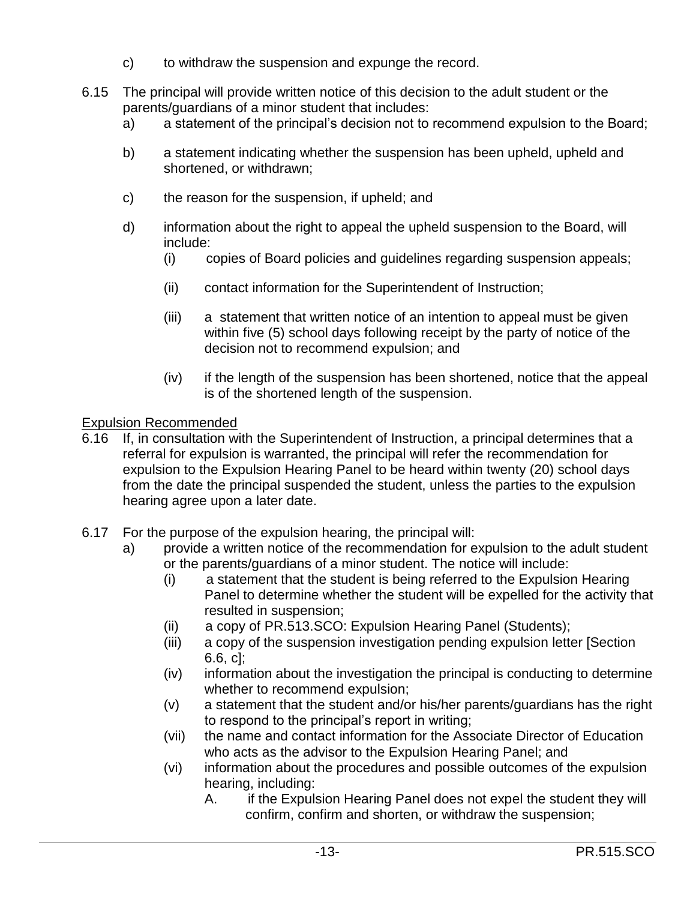- c) to withdraw the suspension and expunge the record.
- 6.15 The principal will provide written notice of this decision to the adult student or the parents/guardians of a minor student that includes:
	- a) a statement of the principal's decision not to recommend expulsion to the Board;
	- b) a statement indicating whether the suspension has been upheld, upheld and shortened, or withdrawn;
	- c) the reason for the suspension, if upheld; and
	- d) information about the right to appeal the upheld suspension to the Board, will include:
		- (i) copies of Board policies and guidelines regarding suspension appeals;
		- (ii) contact information for the Superintendent of Instruction;
		- (iii) a statement that written notice of an intention to appeal must be given within five (5) school days following receipt by the party of notice of the decision not to recommend expulsion; and
		- (iv) if the length of the suspension has been shortened, notice that the appeal is of the shortened length of the suspension.

#### Expulsion Recommended

- 6.16 If, in consultation with the Superintendent of Instruction, a principal determines that a referral for expulsion is warranted, the principal will refer the recommendation for expulsion to the Expulsion Hearing Panel to be heard within twenty (20) school days from the date the principal suspended the student, unless the parties to the expulsion hearing agree upon a later date.
- 6.17 For the purpose of the expulsion hearing, the principal will:
	- a) provide a written notice of the recommendation for expulsion to the adult student or the parents/guardians of a minor student. The notice will include:
		- (i) a statement that the student is being referred to the Expulsion Hearing Panel to determine whether the student will be expelled for the activity that resulted in suspension;
		- (ii) a copy of PR.513.SCO: Expulsion Hearing Panel (Students);
		- (iii) a copy of the suspension investigation pending expulsion letter [Section 6.6, c];
		- (iv) information about the investigation the principal is conducting to determine whether to recommend expulsion;
		- (v) a statement that the student and/or his/her parents/guardians has the right to respond to the principal's report in writing;
		- (vii) the name and contact information for the Associate Director of Education who acts as the advisor to the Expulsion Hearing Panel; and
		- (vi) information about the procedures and possible outcomes of the expulsion hearing, including:
			- A. if the Expulsion Hearing Panel does not expel the student they will confirm, confirm and shorten, or withdraw the suspension;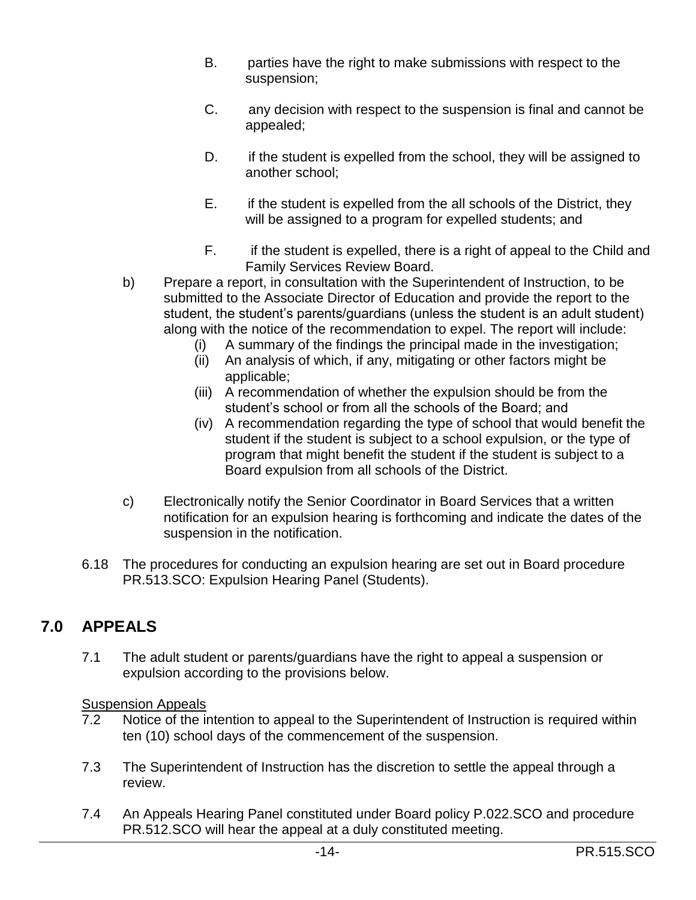- B. parties have the right to make submissions with respect to the suspension;
- C. any decision with respect to the suspension is final and cannot be appealed;
- D. if the student is expelled from the school, they will be assigned to another school;
- E. if the student is expelled from the all schools of the District, they will be assigned to a program for expelled students; and
- F. if the student is expelled, there is a right of appeal to the Child and Family Services Review Board.
- b) Prepare a report, in consultation with the Superintendent of Instruction, to be submitted to the Associate Director of Education and provide the report to the student, the student's parents/guardians (unless the student is an adult student) along with the notice of the recommendation to expel. The report will include:
	- (i) A summary of the findings the principal made in the investigation;
	- (ii) An analysis of which, if any, mitigating or other factors might be applicable;
	- (iii) A recommendation of whether the expulsion should be from the student's school or from all the schools of the Board; and
	- (iv) A recommendation regarding the type of school that would benefit the student if the student is subject to a school expulsion, or the type of program that might benefit the student if the student is subject to a Board expulsion from all schools of the District.
- c) Electronically notify the Senior Coordinator in Board Services that a written notification for an expulsion hearing is forthcoming and indicate the dates of the suspension in the notification.
- 6.18 The procedures for conducting an expulsion hearing are set out in Board procedure PR.513.SCO: Expulsion Hearing Panel (Students).

## **7.0 APPEALS**

7.1 The adult student or parents/guardians have the right to appeal a suspension or expulsion according to the provisions below.

### **Suspension Appeals**

- 7.2 Notice of the intention to appeal to the Superintendent of Instruction is required within ten (10) school days of the commencement of the suspension.
- 7.3 The Superintendent of Instruction has the discretion to settle the appeal through a review.
- 7.4 An Appeals Hearing Panel constituted under Board policy P.022.SCO and procedure PR.512.SCO will hear the appeal at a duly constituted meeting.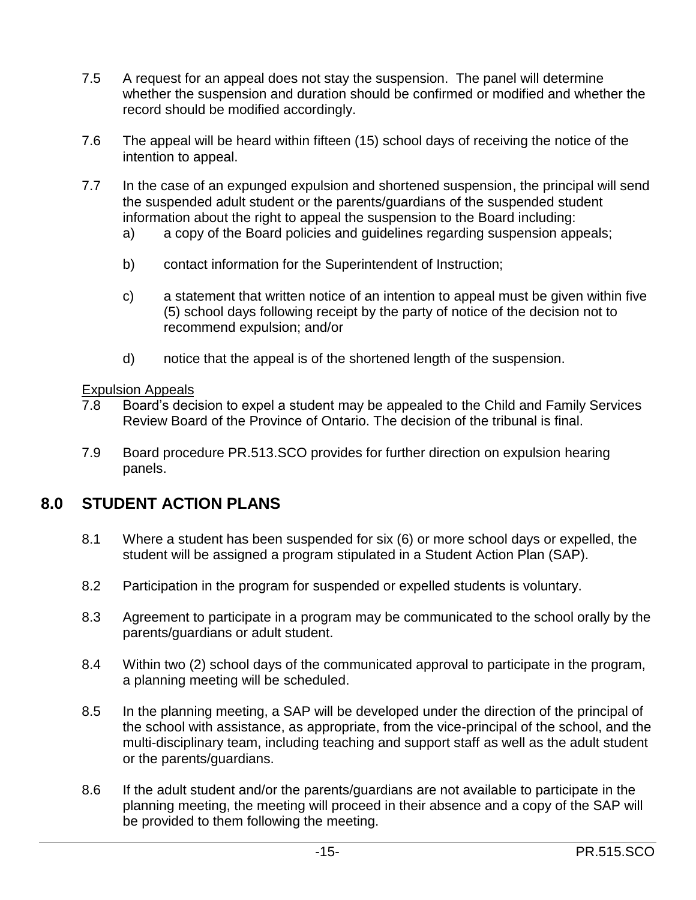- 7.5 A request for an appeal does not stay the suspension. The panel will determine whether the suspension and duration should be confirmed or modified and whether the record should be modified accordingly.
- 7.6 The appeal will be heard within fifteen (15) school days of receiving the notice of the intention to appeal.
- 7.7 In the case of an expunged expulsion and shortened suspension, the principal will send the suspended adult student or the parents/guardians of the suspended student information about the right to appeal the suspension to the Board including:
	- a) a copy of the Board policies and guidelines regarding suspension appeals;
	- b) contact information for the Superintendent of Instruction;
	- c) a statement that written notice of an intention to appeal must be given within five (5) school days following receipt by the party of notice of the decision not to recommend expulsion; and/or
	- d) notice that the appeal is of the shortened length of the suspension.

#### Expulsion Appeals

- 7.8 Board's decision to expel a student may be appealed to the Child and Family Services Review Board of the Province of Ontario. The decision of the tribunal is final.
- 7.9 Board procedure PR.513.SCO provides for further direction on expulsion hearing panels.

### **8.0 STUDENT ACTION PLANS**

- 8.1 Where a student has been suspended for six (6) or more school days or expelled, the student will be assigned a program stipulated in a Student Action Plan (SAP).
- 8.2 Participation in the program for suspended or expelled students is voluntary.
- 8.3 Agreement to participate in a program may be communicated to the school orally by the parents/guardians or adult student.
- 8.4 Within two (2) school days of the communicated approval to participate in the program, a planning meeting will be scheduled.
- 8.5 In the planning meeting, a SAP will be developed under the direction of the principal of the school with assistance, as appropriate, from the vice-principal of the school, and the multi-disciplinary team, including teaching and support staff as well as the adult student or the parents/guardians.
- 8.6 If the adult student and/or the parents/guardians are not available to participate in the planning meeting, the meeting will proceed in their absence and a copy of the SAP will be provided to them following the meeting.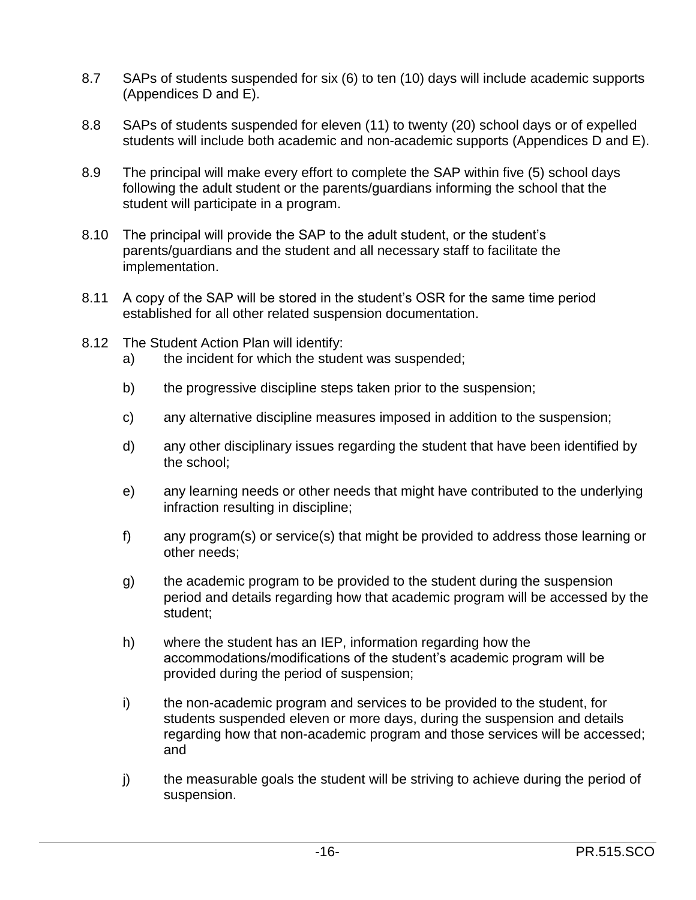- 8.7 SAPs of students suspended for six (6) to ten (10) days will include academic supports (Appendices D and E).
- 8.8 SAPs of students suspended for eleven (11) to twenty (20) school days or of expelled students will include both academic and non-academic supports (Appendices D and E).
- 8.9 The principal will make every effort to complete the SAP within five (5) school days following the adult student or the parents/guardians informing the school that the student will participate in a program.
- 8.10 The principal will provide the SAP to the adult student, or the student's parents/guardians and the student and all necessary staff to facilitate the implementation.
- 8.11 A copy of the SAP will be stored in the student's OSR for the same time period established for all other related suspension documentation.
- 8.12 The Student Action Plan will identify:
	- a) the incident for which the student was suspended;
	- b) the progressive discipline steps taken prior to the suspension;
	- c) any alternative discipline measures imposed in addition to the suspension;
	- d) any other disciplinary issues regarding the student that have been identified by the school;
	- e) any learning needs or other needs that might have contributed to the underlying infraction resulting in discipline;
	- f) any program(s) or service(s) that might be provided to address those learning or other needs;
	- g) the academic program to be provided to the student during the suspension period and details regarding how that academic program will be accessed by the student;
	- h) where the student has an IEP, information regarding how the accommodations/modifications of the student's academic program will be provided during the period of suspension;
	- i) the non-academic program and services to be provided to the student, for students suspended eleven or more days, during the suspension and details regarding how that non-academic program and those services will be accessed; and
	- j) the measurable goals the student will be striving to achieve during the period of suspension.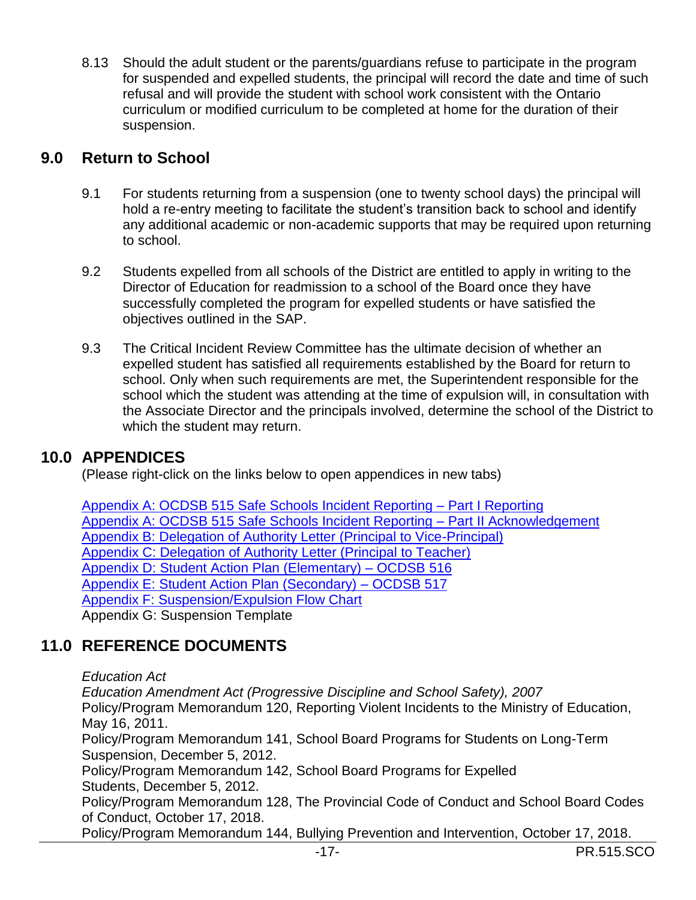8.13 Should the adult student or the parents/guardians refuse to participate in the program for suspended and expelled students, the principal will record the date and time of such refusal and will provide the student with school work consistent with the Ontario curriculum or modified curriculum to be completed at home for the duration of their suspension.

### **9.0 Return to School**

- 9.1 For students returning from a suspension (one to twenty school days) the principal will hold a re-entry meeting to facilitate the student's transition back to school and identify any additional academic or non-academic supports that may be required upon returning to school.
- 9.2 Students expelled from all schools of the District are entitled to apply in writing to the Director of Education for readmission to a school of the Board once they have successfully completed the program for expelled students or have satisfied the objectives outlined in the SAP.
- 9.3 The Critical Incident Review Committee has the ultimate decision of whether an expelled student has satisfied all requirements established by the Board for return to school. Only when such requirements are met, the Superintendent responsible for the school which the student was attending at the time of expulsion will, in consultation with the Associate Director and the principals involved, determine the school of the District to which the student may return.

### **10.0 APPENDICES**

(Please right-click on the links below to open appendices in new tabs)

[Appendix A: OCDSB 515 Safe Schools Incident Reporting –](https://weblink.ocdsb.ca/WebLink/ElectronicFile.aspx?docid=3522602&dbid=0) Part I Reporting [Appendix A: OCDSB 515 Safe Schools Incident Reporting –](https://weblink.ocdsb.ca/WebLink/ElectronicFile.aspx?docid=3522608&dbid=0) Part II Acknowledgement [Appendix B: Delegation of Authority Letter \(Principal to Vice-Principal\)](https://weblink.ocdsb.ca/WebLink/ElectronicFile.aspx?docid=3522612&dbid=0) [Appendix C: Delegation of Authority Letter \(Principal to Teacher\)](https://weblink.ocdsb.ca/WebLink/ElectronicFile.aspx?docid=3522614&dbid=0) [Appendix D: Student Action Plan \(Elementary\) –](https://weblink.ocdsb.ca/WebLink/0/edoc/3523636/OCDSB%20516%20Student%20Action%20Plan%20(Elementary).pdf) OCDSB 516 [Appendix E: Student Action Plan \(Secondary\) –](https://weblink.ocdsb.ca/WebLink/0/edoc/3523646/OCDSB%20517%20Student%20Action%20Plan%20(Secondary).pdf) OCDSB 517 [Appendix F: Suspension/Expulsion Flow Chart](https://weblink.ocdsb.ca/WebLink/ElectronicFile.aspx?docid=3523650&dbid=0) Appendix G: Suspension Template

## **11.0 REFERENCE DOCUMENTS**

*Education Act*

*Education Amendment Act (Progressive Discipline and School Safety), 2007*

Policy/Program Memorandum 120, Reporting Violent Incidents to the Ministry of Education, May 16, 2011.

Policy/Program Memorandum 141, School Board Programs for Students on Long-Term Suspension, December 5, 2012.

Policy/Program Memorandum 142, School Board Programs for Expelled Students, December 5, 2012.

Policy/Program Memorandum 128, The Provincial Code of Conduct and School Board Codes of Conduct, October 17, 2018.

Policy/Program Memorandum 144, Bullying Prevention and Intervention, October 17, 2018.